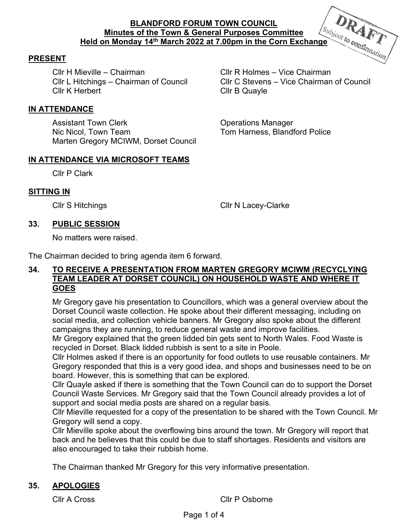

Cllr H Mieville – Chairman Cllr R Holmes – Vice Chairman **Clir K Herbert Clir B Quayle** 

Cllr L Hitchings – Chairman of Council Cllr C Stevens – Vice Chairman of Council

# **IN ATTENDANCE**

Assistant Town Clerk **Constructions** Operations Manager Nic Nicol, Town Team The Collection Communication Communication Communication Communication Communication Communication Communication Communication Communication Communication Communication Communication Communication Comm Marten Gregory MCIWM, Dorset Council

# **IN ATTENDANCE VIA MICROSOFT TEAMS**

Cllr P Clark

### **SITTING IN**

Cllr S Hitchings Cllr N Lacey-Clarke

### **33. PUBLIC SESSION**

No matters were raised.

The Chairman decided to bring agenda item 6 forward.

### **34. TO RECEIVE A PRESENTATION FROM MARTEN GREGORY MCIWM (RECYCLYING TEAM LEADER AT DORSET COUNCIL) ON HOUSEHOLD WASTE AND WHERE IT GOES**

Mr Gregory gave his presentation to Councillors, which was a general overview about the Dorset Council waste collection. He spoke about their different messaging, including on social media, and collection vehicle banners. Mr Gregory also spoke about the different campaigns they are running, to reduce general waste and improve facilities.

Mr Gregory explained that the green lidded bin gets sent to North Wales. Food Waste is recycled in Dorset. Black lidded rubbish is sent to a site in Poole.

Cllr Holmes asked if there is an opportunity for food outlets to use reusable containers. Mr Gregory responded that this is a very good idea, and shops and businesses need to be on board. However, this is something that can be explored.

Cllr Quayle asked if there is something that the Town Council can do to support the Dorset Council Waste Services. Mr Gregory said that the Town Council already provides a lot of support and social media posts are shared on a regular basis.

Cllr Mieville requested for a copy of the presentation to be shared with the Town Council. Mr Gregory will send a copy.

Cllr Mieville spoke about the overflowing bins around the town. Mr Gregory will report that back and he believes that this could be due to staff shortages. Residents and visitors are also encouraged to take their rubbish home.

The Chairman thanked Mr Gregory for this very informative presentation.

# **35. APOLOGIES**

Cllr A Cross Cllr P Osborne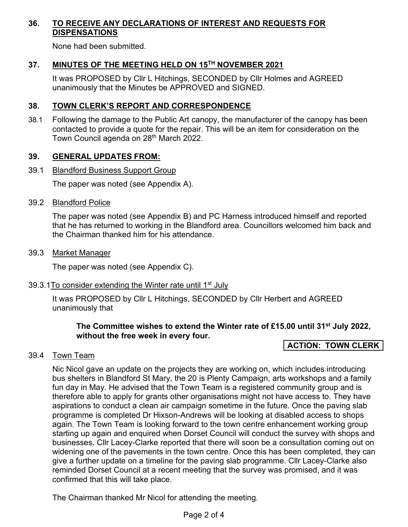# **36. TO RECEIVE ANY DECLARATIONS OF INTEREST AND REQUESTS FOR DISPENSATIONS**

None had been submitted.

# **37. MINUTES OF THE MEETING HELD ON 15TH NOVEMBER 2021**

It was PROPOSED by Cllr L Hitchings, SECONDED by Cllr Holmes and AGREED unanimously that the Minutes be APPROVED and SIGNED.

### **38. TOWN CLERK'S REPORT AND CORRESPONDENCE**

38.1 Following the damage to the Public Art canopy, the manufacturer of the canopy has been contacted to provide a quote for the repair. This will be an item for consideration on the Town Council agenda on 28<sup>th</sup> March 2022.

### **39. GENERAL UPDATES FROM:**

39.1 Blandford Business Support Group

The paper was noted (see Appendix A).

#### 39.2 Blandford Police

The paper was noted (see Appendix B) and PC Harness introduced himself and reported that he has returned to working in the Blandford area. Councillors welcomed him back and the Chairman thanked him for his attendance.

39.3 Market Manager

The paper was noted (see Appendix C).

39.3.1To consider extending the Winter rate until  $1<sup>st</sup>$  July

It was PROPOSED by Cllr L Hitchings, SECONDED by Cllr Herbert and AGREED unanimously that

**The Committee wishes to extend the Winter rate of £15.00 until 31st July 2022, without the free week in every four.** 

# **ACTION: TOWN CLERK**

# 39.4 Town Team

 Nic Nicol gave an update on the projects they are working on, which includes introducing bus shelters in Blandford St Mary, the 20 is Plenty Campaign, arts workshops and a family fun day in May. He advised that the Town Team is a registered community group and is therefore able to apply for grants other organisations might not have access to. They have aspirations to conduct a clean air campaign sometime in the future. Once the paving slab programme is completed Dr Hixson-Andrews will be looking at disabled access to shops again. The Town Team is looking forward to the town centre enhancement working group starting up again and enquired when Dorset Council will conduct the survey with shops and businesses. Cllr Lacey-Clarke reported that there will soon be a consultation coming out on widening one of the pavements in the town centre. Once this has been completed, they can give a further update on a timeline for the paving slab programme. Cllr Lacey-Clarke also reminded Dorset Council at a recent meeting that the survey was promised, and it was confirmed that this will take place.

The Chairman thanked Mr Nicol for attending the meeting.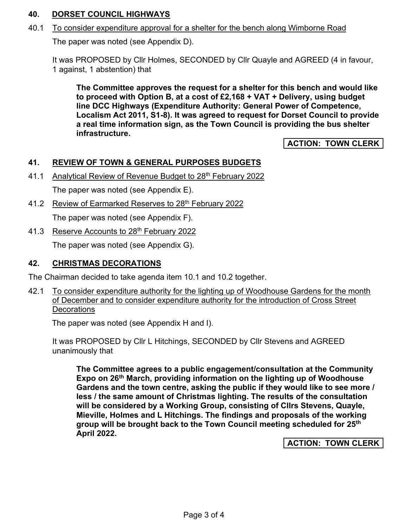# **40. DORSET COUNCIL HIGHWAYS**

#### 40.1 To consider expenditure approval for a shelter for the bench along Wimborne Road

The paper was noted (see Appendix D).

It was PROPOSED by Cllr Holmes, SECONDED by Cllr Quayle and AGREED (4 in favour, 1 against, 1 abstention) that

**The Committee approves the request for a shelter for this bench and would like to proceed with Option B, at a cost of £2,168 + VAT + Delivery, using budget line DCC Highways (Expenditure Authority: General Power of Competence, Localism Act 2011, S1-8). It was agreed to request for Dorset Council to provide a real time information sign, as the Town Council is providing the bus shelter infrastructure.** 

# **ACTION: TOWN CLERK**

### **41. REVIEW OF TOWN & GENERAL PURPOSES BUDGETS**

41.1 Analytical Review of Revenue Budget to 28<sup>th</sup> February 2022

The paper was noted (see Appendix E).

41.2 Review of Earmarked Reserves to 28<sup>th</sup> February 2022

The paper was noted (see Appendix F).

41.3 Reserve Accounts to 28<sup>th</sup> February 2022

The paper was noted (see Appendix G).

#### **42. CHRISTMAS DECORATIONS**

The Chairman decided to take agenda item 10.1 and 10.2 together.

42.1 To consider expenditure authority for the lighting up of Woodhouse Gardens for the month of December and to consider expenditure authority for the introduction of Cross Street **Decorations** 

The paper was noted (see Appendix H and I).

It was PROPOSED by Cllr L Hitchings, SECONDED by Cllr Stevens and AGREED unanimously that

**The Committee agrees to a public engagement/consultation at the Community Expo on 26th March, providing information on the lighting up of Woodhouse Gardens and the town centre, asking the public if they would like to see more / less / the same amount of Christmas lighting. The results of the consultation will be considered by a Working Group, consisting of Cllrs Stevens, Quayle, Mieville, Holmes and L Hitchings. The findings and proposals of the working group will be brought back to the Town Council meeting scheduled for 25th April 2022.** 

**ACTION: TOWN CLERK**